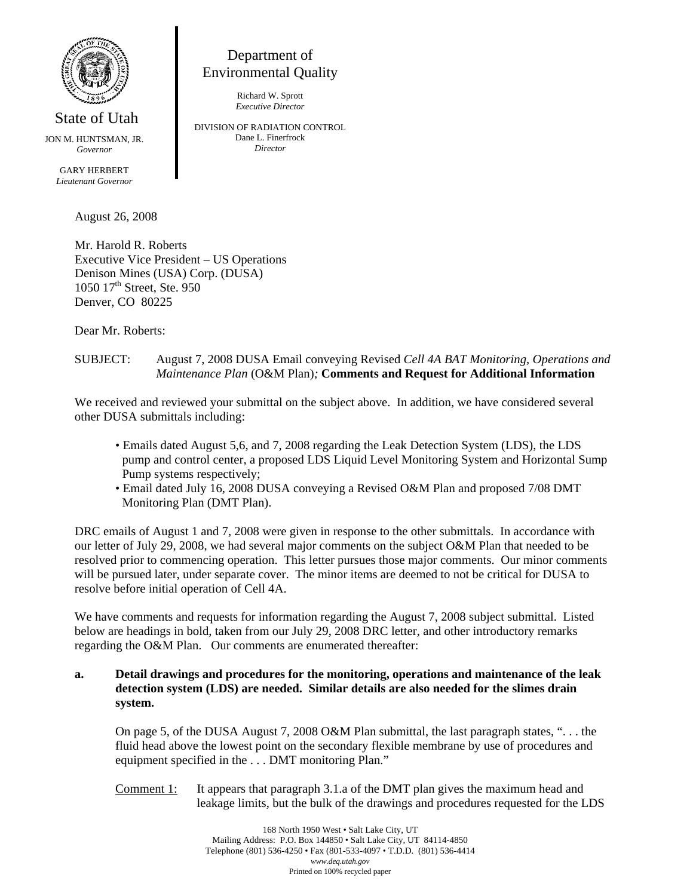

State of Utah JON M. HUNTSMAN, JR.

*Governor* 

GARY HERBERT *Lieutenant Governor*

August 26, 2008

Mr. Harold R. Roberts Executive Vice President – US Operations Denison Mines (USA) Corp. (DUSA) 1050 17<sup>th</sup> Street, Ste. 950 Denver, CO 80225

Department of Environmental Quality Richard W. Sprott *Executive Director*  DIVISION OF RADIATION CONTROL Dane L. Finerfrock *Director* 

Dear Mr. Roberts:

## SUBJECT: August 7, 2008 DUSA Email conveying Revised *Cell 4A BAT Monitoring, Operations and Maintenance Plan* (O&M Plan)*;* **Comments and Request for Additional Information**

We received and reviewed your submittal on the subject above. In addition, we have considered several other DUSA submittals including:

- Emails dated August 5,6, and 7, 2008 regarding the Leak Detection System (LDS), the LDS pump and control center, a proposed LDS Liquid Level Monitoring System and Horizontal Sump Pump systems respectively;
- Email dated July 16, 2008 DUSA conveying a Revised O&M Plan and proposed 7/08 DMT Monitoring Plan (DMT Plan).

DRC emails of August 1 and 7, 2008 were given in response to the other submittals. In accordance with our letter of July 29, 2008, we had several major comments on the subject O&M Plan that needed to be resolved prior to commencing operation. This letter pursues those major comments. Our minor comments will be pursued later, under separate cover. The minor items are deemed to not be critical for DUSA to resolve before initial operation of Cell 4A.

We have comments and requests for information regarding the August 7, 2008 subject submittal. Listed below are headings in bold, taken from our July 29, 2008 DRC letter, and other introductory remarks regarding the O&M Plan. Our comments are enumerated thereafter:

## **a. Detail drawings and procedures for the monitoring, operations and maintenance of the leak detection system (LDS) are needed. Similar details are also needed for the slimes drain system.**

On page 5, of the DUSA August 7, 2008 O&M Plan submittal, the last paragraph states, ". . . the fluid head above the lowest point on the secondary flexible membrane by use of procedures and equipment specified in the . . . DMT monitoring Plan."

Comment  $1$ : It appears that paragraph 3.1.a of the DMT plan gives the maximum head and leakage limits, but the bulk of the drawings and procedures requested for the LDS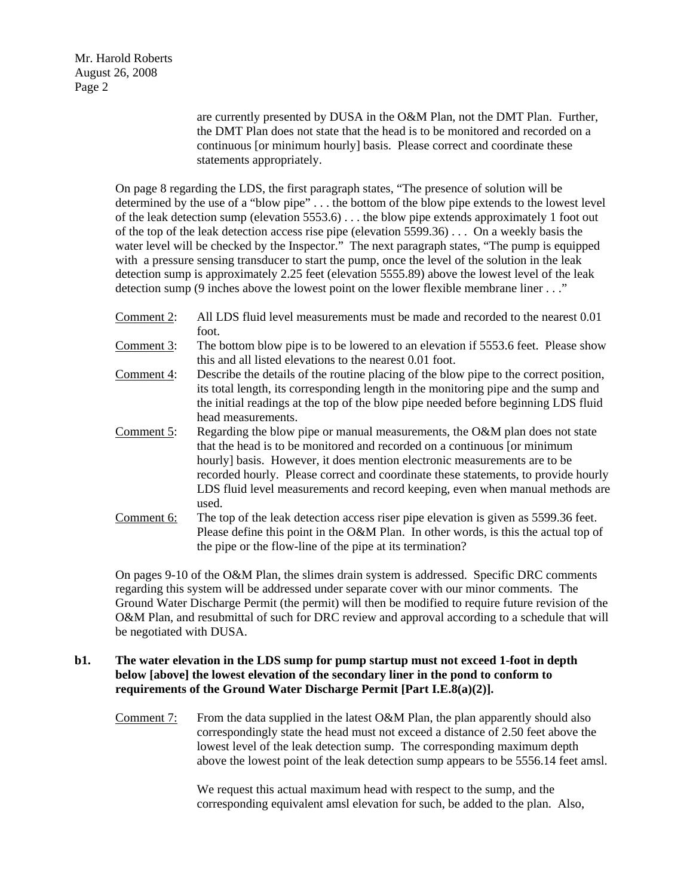Mr. Harold Roberts August 26, 2008 Page 2

> are currently presented by DUSA in the O&M Plan, not the DMT Plan. Further, the DMT Plan does not state that the head is to be monitored and recorded on a continuous [or minimum hourly] basis. Please correct and coordinate these statements appropriately.

On page 8 regarding the LDS, the first paragraph states, "The presence of solution will be determined by the use of a "blow pipe" . . . the bottom of the blow pipe extends to the lowest level of the leak detection sump (elevation 5553.6) . . . the blow pipe extends approximately 1 foot out of the top of the leak detection access rise pipe (elevation 5599.36) . . . On a weekly basis the water level will be checked by the Inspector." The next paragraph states, "The pump is equipped with a pressure sensing transducer to start the pump, once the level of the solution in the leak detection sump is approximately 2.25 feet (elevation 5555.89) above the lowest level of the leak detection sump (9 inches above the lowest point on the lower flexible membrane liner . . ."

- Comment 2: All LDS fluid level measurements must be made and recorded to the nearest 0.01 foot.
- Comment 3: The bottom blow pipe is to be lowered to an elevation if 5553.6 feet. Please show this and all listed elevations to the nearest 0.01 foot.
- Comment 4: Describe the details of the routine placing of the blow pipe to the correct position, its total length, its corresponding length in the monitoring pipe and the sump and the initial readings at the top of the blow pipe needed before beginning LDS fluid head measurements.
- Comment 5: Regarding the blow pipe or manual measurements, the O&M plan does not state that the head is to be monitored and recorded on a continuous [or minimum hourly] basis. However, it does mention electronic measurements are to be recorded hourly. Please correct and coordinate these statements, to provide hourly LDS fluid level measurements and record keeping, even when manual methods are used.
- Comment 6: The top of the leak detection access riser pipe elevation is given as 5599.36 feet. Please define this point in the O&M Plan. In other words, is this the actual top of the pipe or the flow-line of the pipe at its termination?

On pages 9-10 of the O&M Plan, the slimes drain system is addressed. Specific DRC comments regarding this system will be addressed under separate cover with our minor comments. The Ground Water Discharge Permit (the permit) will then be modified to require future revision of the O&M Plan, and resubmittal of such for DRC review and approval according to a schedule that will be negotiated with DUSA.

## **b1. The water elevation in the LDS sump for pump startup must not exceed 1-foot in depth below [above] the lowest elevation of the secondary liner in the pond to conform to requirements of the Ground Water Discharge Permit [Part I.E.8(a)(2)].**

Comment 7: From the data supplied in the latest O&M Plan, the plan apparently should also correspondingly state the head must not exceed a distance of 2.50 feet above the lowest level of the leak detection sump. The corresponding maximum depth above the lowest point of the leak detection sump appears to be 5556.14 feet amsl.

> We request this actual maximum head with respect to the sump, and the corresponding equivalent amsl elevation for such, be added to the plan. Also,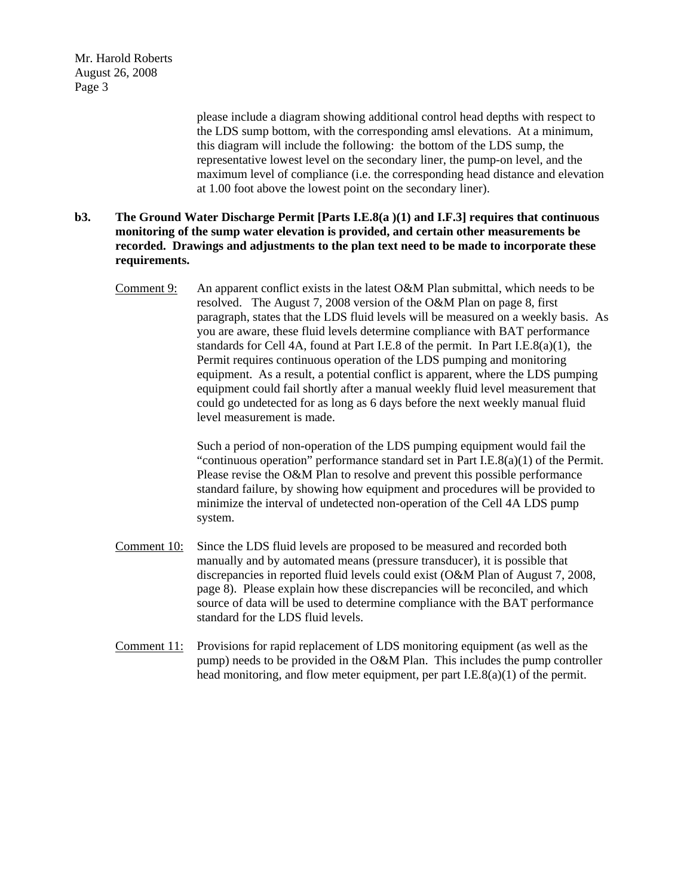Mr. Harold Roberts August 26, 2008 Page 3

> please include a diagram showing additional control head depths with respect to the LDS sump bottom, with the corresponding amsl elevations. At a minimum, this diagram will include the following: the bottom of the LDS sump, the representative lowest level on the secondary liner, the pump-on level, and the maximum level of compliance (i.e. the corresponding head distance and elevation at 1.00 foot above the lowest point on the secondary liner).

## **b3. The Ground Water Discharge Permit [Parts I.E.8(a )(1) and I.F.3] requires that continuous monitoring of the sump water elevation is provided, and certain other measurements be recorded. Drawings and adjustments to the plan text need to be made to incorporate these requirements.**

Comment 9: An apparent conflict exists in the latest O&M Plan submittal, which needs to be resolved. The August 7, 2008 version of the O&M Plan on page 8, first paragraph, states that the LDS fluid levels will be measured on a weekly basis. As you are aware, these fluid levels determine compliance with BAT performance standards for Cell 4A, found at Part I.E.8 of the permit. In Part I.E.8(a)(1), the Permit requires continuous operation of the LDS pumping and monitoring equipment. As a result, a potential conflict is apparent, where the LDS pumping equipment could fail shortly after a manual weekly fluid level measurement that could go undetected for as long as 6 days before the next weekly manual fluid level measurement is made.

> Such a period of non-operation of the LDS pumping equipment would fail the "continuous operation" performance standard set in Part I.E.8(a)(1) of the Permit. Please revise the O&M Plan to resolve and prevent this possible performance standard failure, by showing how equipment and procedures will be provided to minimize the interval of undetected non-operation of the Cell 4A LDS pump system.

- Comment 10: Since the LDS fluid levels are proposed to be measured and recorded both manually and by automated means (pressure transducer), it is possible that discrepancies in reported fluid levels could exist (O&M Plan of August 7, 2008, page 8). Please explain how these discrepancies will be reconciled, and which source of data will be used to determine compliance with the BAT performance standard for the LDS fluid levels.
- Comment 11: Provisions for rapid replacement of LDS monitoring equipment (as well as the pump) needs to be provided in the O&M Plan. This includes the pump controller head monitoring, and flow meter equipment, per part I.E.8(a)(1) of the permit.